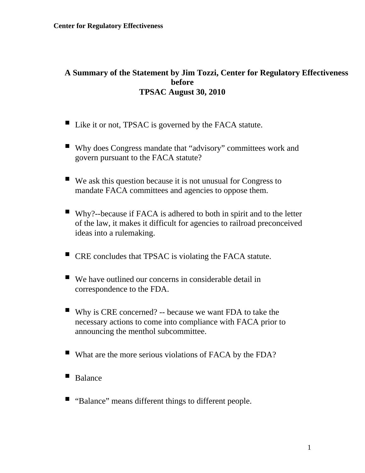## **A Summary of the Statement by Jim Tozzi, Center for Regulatory Effectiveness before TPSAC August 30, 2010**

- Like it or not, TPSAC is governed by the FACA statute.
- Why does Congress mandate that "advisory" committees work and govern pursuant to the FACA statute?
- $\blacksquare$  We ask this question because it is not unusual for Congress to mandate FACA committees and agencies to oppose them.
- Why?--because if FACA is adhered to both in spirit and to the letter of the law, it makes it difficult for agencies to railroad preconceived ideas into a rulemaking.
- CRE concludes that TPSAC is violating the FACA statute.
- $\blacksquare$  We have outlined our concerns in considerable detail in correspondence to the FDA.
- Why is CRE concerned? -- because we want FDA to take the necessary actions to come into compliance with FACA prior to announcing the menthol subcommittee.
- What are the more serious violations of FACA by the FDA?
- Balance
- "Balance" means different things to different people.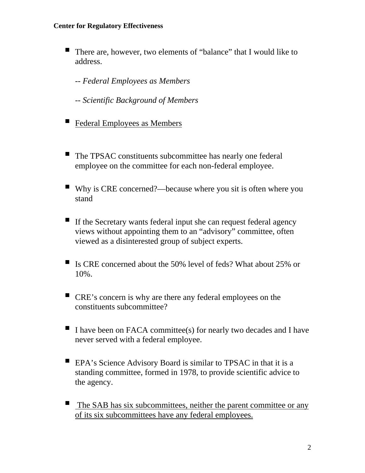There are, however, two elements of "balance" that I would like to address.

*-- Federal Employees as Members* 

*-- Scientific Background of Members* 

- Federal Employees as Members
- The TPSAC constituents subcommittee has nearly one federal employee on the committee for each non-federal employee.
- Why is CRE concerned?—because where you sit is often where you stand
- If the Secretary wants federal input she can request federal agency views without appointing them to an "advisory" committee, often viewed as a disinterested group of subject experts.
- Is CRE concerned about the 50% level of feds? What about 25% or 10%.
- CRE's concern is why are there any federal employees on the constituents subcommittee?
- I have been on FACA committee(s) for nearly two decades and I have never served with a federal employee.
- EPA's Science Advisory Board is similar to TPSAC in that it is a standing committee, formed in 1978, to provide scientific advice to the agency.
- $\blacksquare$  The SAB has six subcommittees, neither the parent committee or any of its six subcommittees have any federal employees.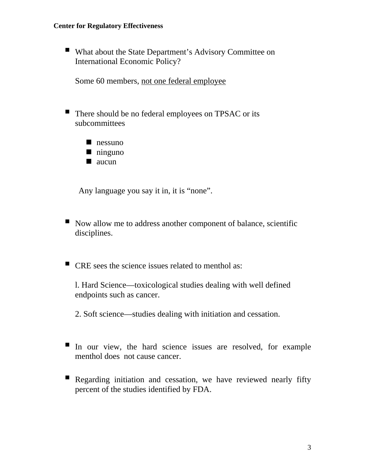■ What about the State Department's Advisory Committee on International Economic Policy?

Some 60 members, not one federal employee

- There should be no federal employees on TPSAC or its subcommittees
	- nessuno
	- ninguno
	- $\blacksquare$  aucun

Any language you say it in, it is "none".

- Now allow me to address another component of balance, scientific disciplines.
- CRE sees the science issues related to menthol as:

l. Hard Science—toxicological studies dealing with well defined endpoints such as cancer.

2. Soft science—studies dealing with initiation and cessation.

- In our view, the hard science issues are resolved, for example menthol does not cause cancer.
- Regarding initiation and cessation, we have reviewed nearly fifty percent of the studies identified by FDA.